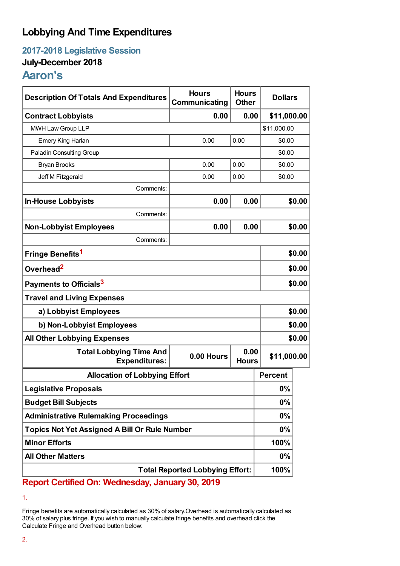## **Lobbying And Time Expenditures**

**2017-2018 Legislative Session**

## **July-December 2018**

# **Aaron's**

| <b>Description Of Totals And Expenditures</b>          | <b>Hours</b><br>Communicating | <b>Hours</b><br><b>Other</b> | <b>Dollars</b> |        |  |
|--------------------------------------------------------|-------------------------------|------------------------------|----------------|--------|--|
| <b>Contract Lobbyists</b>                              | 0.00                          | 0.00                         | \$11,000.00    |        |  |
| MWH Law Group LLP                                      |                               |                              | \$11,000.00    |        |  |
| Emery King Harlan                                      | 0.00                          | 0.00                         | \$0.00         |        |  |
| <b>Paladin Consulting Group</b>                        |                               |                              | \$0.00         |        |  |
| <b>Bryan Brooks</b>                                    | 0.00                          | 0.00                         | \$0.00         |        |  |
| Jeff M Fitzgerald                                      | 0.00                          | 0.00                         | \$0.00         |        |  |
| Comments:                                              |                               |                              |                |        |  |
| <b>In-House Lobbyists</b>                              | 0.00                          | 0.00                         |                | \$0.00 |  |
| Comments:                                              |                               |                              |                |        |  |
| <b>Non-Lobbyist Employees</b>                          | 0.00                          | 0.00                         |                | \$0.00 |  |
| Comments:                                              |                               |                              |                |        |  |
| Fringe Benefits <sup>1</sup>                           |                               |                              |                | \$0.00 |  |
| Overhead <sup>2</sup>                                  |                               |                              |                | \$0.00 |  |
| Payments to Officials <sup>3</sup>                     |                               |                              |                | \$0.00 |  |
| <b>Travel and Living Expenses</b>                      |                               |                              |                |        |  |
| a) Lobbyist Employees                                  |                               |                              |                | \$0.00 |  |
| b) Non-Lobbyist Employees                              |                               |                              | \$0.00         |        |  |
| <b>All Other Lobbying Expenses</b>                     |                               |                              | \$0.00         |        |  |
| <b>Total Lobbying Time And</b><br><b>Expenditures:</b> | 0.00 Hours                    | 0.00<br><b>Hours</b>         | \$11,000.00    |        |  |
| <b>Allocation of Lobbying Effort</b>                   |                               |                              | <b>Percent</b> |        |  |
| <b>Legislative Proposals</b>                           |                               |                              | 0%             |        |  |
| <b>Budget Bill Subjects</b>                            |                               |                              | 0%             |        |  |
| <b>Administrative Rulemaking Proceedings</b>           |                               |                              | $0\%$          |        |  |
| <b>Topics Not Yet Assigned A Bill Or Rule Number</b>   |                               |                              | $0\%$          |        |  |
| <b>Minor Efforts</b>                                   |                               |                              | 100%           |        |  |
| <b>All Other Matters</b>                               |                               |                              | 0%             |        |  |
| <b>Total Reported Lobbying Effort:</b>                 |                               |                              | 100%           |        |  |

**Report Certified On: Wednesday, January 30, 2019**

<sup>1.</sup>

Fringe benefits are automatically calculated as 30% of salary.Overhead is automatically calculated as 30% of salary plus fringe. If you wish to manually calculate fringe benefits and overhead,click the Calculate Fringe and Overhead button below: